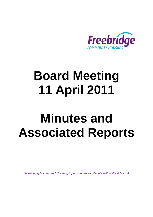

# **Board Meeting 11 April 2011**

# **Minutes and Associated Reports**

*Developing Homes and Creating Opportunities for People within West Norfolk*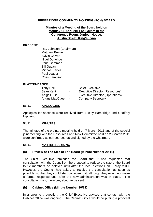#### **FREEBRIDGE COMMUNITY HOUSING (FCH) BOARD**

#### **Minutes of a Meeting of the Board held on Monday 11 April 2011 at 6.30pm in the Conference Room, Juniper House, Austin Street, King's Lynn**

#### **PRESENT:**

Ray Johnson (Chairman) Matthew Brown Sylvia Calver Nigel Donohue Irene Gammon Bill Guyan Michael Jervis Paul Leader Colin Sampson

#### **IN ATTENDANCE:**

| <b>Tony Hall</b>     | $\sim$ 100 $\mu$ | <b>Chief Executive</b>                 |
|----------------------|------------------|----------------------------------------|
| Sean Kent            | $\overline{a}$   | Executive Director (Resources)         |
| <b>Abigail Ellis</b> | $\blacksquare$   | <b>Executive Director (Operations)</b> |
| Angus MacQueen -     |                  | <b>Company Secretary</b>               |

#### **53/11 APOLOGIES**

Apologies for absence were received from Lesley Bambridge and Geoffrey Hipperson.

#### **54/11 MINUTES**

The minutes of the ordinary meeting held on 7 March 2011 and of the special joint meeting with the Resources and Risk Committee held on 28 March 2011 were confirmed as correct records and signed by the Chairman.

#### **55/11 MATTERS ARISING**

#### **(a) Review of The Size of The Board (Minute Number 29/11)**

The Chief Executive reminded the Board that it had requested that consultation with the Council on the proposal to reduce the size of the Board to 12 members be delayed until after the local elections on 5 May 2011. However, the Council had asked to receive the consultation as soon as possible, so that they could start considering it, although they would not make a formal response until after the new administration was in place. The consultation was, therefore, about to be sent.

#### **(b) Cabinet Office (Minute Number 30/11)**

In answer to a question, the Chief Executive advised that contact with the Cabinet Office was ongoing. The Cabinet Office would be putting a proposal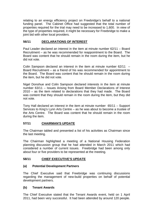relating to an energy efficiency project on Freebridge's behalf to a national funding panel. The Cabinet Office had suggested that the total number of properties required for the trial may need to be increased to 1,600. In view of the type of properties required, it might be necessary for Freebridge to make a joint bid with other local providers.

### **56/11 DECLARATIONS OF INTEREST**

Paul Leader declared an interest in the item at minute number 62/11 – Board Recruitment – as he was recommended for reappointment to the Board. The Board was content that he should remain in the room during the item, but he did not vote.

Colin Sampson declared an interest in the item at minute number 62/11 – Board Recruitment – as a friend of his was recommended for appointment to the Board. The Board was content that he should remain in the room during the item, but he did not vote.

Nigel Donohue and Colin Sampson declared interests in the item at minute number 63/11 – Issues Arising from Board Member Declarations of Interest 2010 – as the item related to declarations that they had made. The Board was content that they should remain in the room during the item, but they did not vote.

Tony Hall declared an interest in the item at minute number 65/11 – Support Services to King's Lynn Arts Centre – as he was about to become a trustee of the Arts Centre. The Board was content that he should remain in the room during the item.

#### **57/11 CHAIRMAN'S UPDATE**

The Chairman tabled and presented a list of his activities as Chairman since the last meeting.

The Chairman highlighted a meeting of a National Housing Federation planning discussion group that he had attended in March 2011 which had considered a number of current issues. Freebridge had been among only about four or five providers to be represented at the meeting.

#### **58/11 CHIEF EXECUTIVE'S UPDATE**

#### **(a) Potential Development Partners**

The Chief Executive said that Freebridge was continuing discussions regarding the management of new-build properties on behalf of potential development partners.

#### **(b) Tenant Awards**

The Chief Executive stated that the Tenant Awards event, held on 1 April 2011, had been very successful. It had been attended by around 120 people.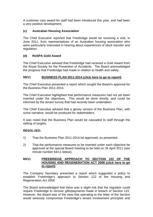A customer care award for staff had been introduced this year, and had been a very positive development.

### **(c) Australian Housing Association**

The Chief Executive reported that Freebridge would be receiving a visit, in June 2011, from representatives of an Australian housing association who were particularly interested in hearing about experiences of stock transfer and regulation.

#### **(d) RoSPA Gold Award**

The Chief Executive advised that Freebridge had received a Gold Award from the Royal Society for the Prevention of Accidents. The Board acknowledged the progress that Freebridge had made in relation to health and safety.

#### **59/11 BUSINESS PLAN 2011-2014 [\(click here to go to report\)](#page-10-0)**

The Chief Executive presented a report which sought the Board's approval for the Business Plan 2011-2014.

The Chief Executive highlighted that performance measures had not yet been inserted under the objectives. This would be done shortly, and could be informed by the tenant survey that had recently been undertaken.

The Chief Executive advised that a glossy version of the Business Plan, with some narrative, would be produced for stakeholders.

It was noted that the Business Plan would be cascaded to staff through the setting of targets.

#### **RESOLVED:**

- 1) That the Business Plan 2011-2014 be approved, as presented.
- 2) That the performance measures to be inserted under each objective be approved at the special Board meeting to be held on 26 April 2011 (see minute number 64/11 below).

#### **60/11 FREEBRIDGE APPROACH TO SECTION 122 OF THE [HOUSING AND REGENERATION ACT 2008 \(click here to go](#page-17-0) to report)**

The Company Secretary presented a report which suggested a policy to establish Freebridge's approach to Section 122 of the Housing and Regeneration Act 2008.

The Board acknowledged that there was a slight risk that the regulator could require Freebridge to recover gifts/payments made in breach of Section 122. However, the Board was of the view that operating to the letter of the Section would seriously compromise Freebridge's tenant involvement principles and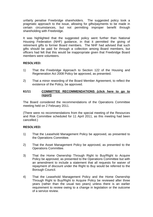unfairly penalise Freebridge shareholders. The suggested policy took a pragmatic approach to the issue, allowing for gifts/payments to be made in certain circumstances, but not permitting improper benefit through shareholding with Freebridge.

It was highlighted that the suggested policy went further than National Housing Federation (NHF) guidance, in that it permitted the giving of retirement gifts to former Board members. The NHF had advised that such gifts should be paid for through a collection among Board members, but officers had felt that this would be inappropriate given that Freebridge Board members were volunteers.

#### **RESOLVED:**

- 1) That the Freebridge Approach to Section 122 of the Housing and Regeneration Act 2008 Policy be approved, as presented.
- 2) That a minor rewording of the Board Member Agreement, to reflect the existence of the Policy, be approved.

#### **61/11 [COMMITTEE RECOMMENDATIONS \(click here to go to](#page-23-0) report)**

The Board considered the recommendations of the Operations Committee meeting held on 2 February 2011.

(There were no recommendations from the special meeting of the Resources and Risk Committee scheduled for 11 April 2011, as this meeting had been cancelled.)

#### **RESOLVED:**

- 1) That the Leasehold Management Policy be approved, as presented to the Operations Committee.
- 2) That the Asset Management Policy be approved, as presented to the Operations Committee.
- 3) That the Home Ownership Through Right to Buy/Right to Acquire Policy be approved, as presented to the Operations Committee but with an amendment to include a statement that all requests for waiver of repayment of discount under the Right to Buy would be referred to the Borough Council.
- 4) That the Leasehold Management Policy and the Home Ownership Through Right to Buy/Right to Acquire Policy be reviewed after three years (rather than the usual two years) unless there is an earlier requirement to review owing to a change in legislation or the outcome of a service review.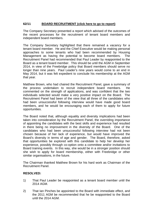#### **62/11 BOARD RECRUITMENT [\(click here to go to report\)](#page-25-0)**

The Company Secretary presented a report which advised of the outcomes of the recent processes for the recruitment of tenant board members and independent board members.

The Company Secretary highlighted that there remained a vacancy for a tenant board member. He and the Chief Executive would be making personal approaches to some tenants who had been recommended by Housing Management as having the potential to become board members. The Recruitment Panel had recommended that Paul Leader by reappointed to the Board as a tenant board member. This should be until the AGM in September 2014, in view of the Freebridge policy that Board members should serve no longer than nine years. Paul Leader's nine years would come to an end in May 2014, but it was felt expedient to conclude his membership at the AGM that year.

Matthew Brown, who had chaired the Recruitment Panel, gave a summary of the process undertaken to recruit independent board members. He commented on the strength of applications, and was confident that the two individuals selected would make a very positive impact on the Board. The Recruitment Panel had been of the view that all three of the candidates who had been unsuccessful following interview would have made good board members, and he would be encouraging each of them to apply for future opportunities.

The Board noted that, although equality and diversity implications had been taken into consideration by the Recruitment Panel, the overriding importance of appointing the candidates with the best skills and experience had resulted in there being no improvement in the diversity of the Board. One of the candidates who had been unsuccessful following interview had not been chosen because of her lack of experience, but would have improved the Board's diversity in terms of age and gender. The Board, therefore, asked that opportunities be explored with this candidate to help her develop her experience, possibly through co-option onto a committee and/or invitations to Board training events. In this way, she would be in a stronger position should she wish to apply for board membership, either with Freebridge or other similar organisations, in the future.

The Chairman thanked Matthew Brown for his hard work as Chairman of the Recruitment Panel.

#### **RESOLVED:**

- 1) That Paul Leader be reappointed as a tenant board member until the 2014 AGM.
- 2) That Ian Pinches be appointed to the Board with immediate effect, and the 2011 AGM be recommended that he be reappointed to the Board until the 2014 AGM.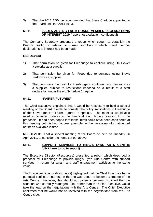3) That the 2011 AGM be recommended that Steve Clark be appointed to the Board until the 2014 AGM.

#### **63/11 ISSUES ARISING FROM BOARD MEMBER DECLARATIONS OF INTEREST 2010** (report not available – confidential)

The Company Secretary presented a report which sought to establish the Board's position in relation to current suppliers in which board member declarations of interest had been made.

#### **RESOLVED:**

- 1) That permission be given for Freebridge to continue using UK Power Networks as a supplier.
- 2) That permission be given for Freebridge to continue using Travis Perkins as a supplier.
- 3) That permission be given for Freebridge to continue using Jewson's as a supplier, subject to restrictions imposed as a result of a staff declaration under the old Schedule 1 regime.

#### **64/11 "FAIRER FUTURES"**

The Chief Executive explained that it would be necessary to hold a special meeting of the Board in order to consider the policy implications to Freebridge of the Government's "Fairer Futures" proposals. The meeting would also need to consider updates to the Financial Plan, largely resulting from the proposals. It had been hoped that these items could have been considered at this meeting, but this had not been possible, as the necessary information had not been available in time.

**RESOLVED:** That a special meeting of the Board be held on Tuesday 26 April 2011, to consider the items set out above.

#### **65/11 SUPPORT SERVICES TO KING'S LYNN ARTS CENTRE [\(click here to go to report\)](#page-28-0)**

The Executive Director (Resources) presented a report which described a proposal for Freebridge to provide King's Lynn Arts Centre with support services, in return for tenant and staff engagement activities to the same value.

The Executive Director (Resources) highlighted that the Chief Executive had a potential conflict of interest, in that he was about to become a trustee of the Arts Centre. However, this should not cause a problem, provided that the situation was carefully managed. He, rather than the Chief Executive, would take the lead on the negotiations with the Arts Centre. The Chief Executive confirmed that he would not be involved with the negotiations from the Arts Centre side.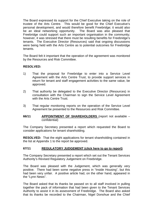The Board expressed its support for the Chief Executive taking on the role of trustee of the Arts Centre. This would be good for the Chief Executive's personal development, and would therefore benefit Freebridge; it would also be an ideal networking opportunity. The Board was also pleased that Freebridge could support such an important organisation in the community; however, it was stressed that there must be resulting benefits for Freebridge's tenants. The Executive Director (Resources) said that ongoing discussions were being held with the Arts Centre as to potential outcomes for Freebridge tenants.

The Board felt it important that the operation of the agreement was monitored by the Resources and Risk Committee.

#### **RESOLVED:**

- 1) That the proposal for Freebridge to enter into a Service Level Agreement with the Arts Centre Trust, to provide support services in return for tenant and staff engagement activities to the same value, be approved.
- 2) That authority be delegated to the Executive Director (Resources) in consultation with the Chairman to sign the Service Level Agreement with the Arts Centre Trust.
- 3) That regular monitoring reports on the operation of the Service Level Agreement be presented to the Resources and Risk Committee.

#### **66/11 APPOINTMENT OF SHAREHOLDERS** (report not available – confidential)

The Company Secretary presented a report which requested the Board to consider applications for tenant shareholding.

**RESOLVED:** That the eight applications for tenant shareholding contained in the list at Appendix 1 to the report be approved.

#### **67/11 REGULATORY JUDGEMENT [\(click here to go to report\)](#page-30-0)**

The Company Secretary presented a report which set out the Tenant Services Authority's Revised Regulatory Judgement on Freebridge.

The Board was pleased with the Judgement, which was generally very positive. There had been some negative press in "Inside Housing", but this had been very unfair. A positive article had, on the other hand, appeared in the "Lynn News".

The Board asked that its thanks be passed on to all staff involved in pulling together the pack of information that had been given to the Tenant Services Authority to assist it in its assessment of Freebridge. The Board also asked that its thanks be recorded to the Chairman, Nigel Donohue and the Chief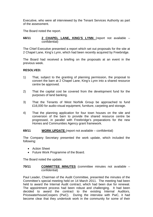Executive, who were all interviewed by the Tenant Services Authority as part of the assessment.

The Board noted the report.

#### **68/11 2 CHAPEL LANE, KING'S LYNN** (report not available – confidential)

The Chief Executive presented a report which set out proposals for the site at 2 Chapel Lane, King's Lynn, which had been recently acquired by Freebridge.

The Board had received a briefing on the proposals at an event in the previous week.

#### **RESOLVED:**

- 1) That, subject to the granting of planning permission, the proposal to convert the barn at 2 Chapel Lane, King's Lynn into a shared resource centre be approved.
- 2) That the capital cost be covered from the development fund for the purposes of land banking.
- 3) That the Tenants of West Norfolk Group be approached to fund £16,000 for audio-visual equipment, furniture, carpeting and storage.
- 4) That the planning application for four town houses on the site and conversion of the barn to provide the shared resource centre be progressed, in parallel with Freebridge's preparations for the new Homes and Communities Agency grant framework.

#### **69/11 WORK UPDATE** (report not available – confidential)

The Company Secretary presented the work update, which included the following:

- Action Sheet
- Future Work Programme of the Board.

The Board noted the update.

#### **70/11 COMMITTEE MINUTES** (committee minutes not available – confidential)

Paul Leader, Chairman of the Audit Committee, presented the minutes of the Committee's special meeting held on 14 March 2011. The meeting had been held to award the Internal Audit contract, which had been due for renewal. The appointment process had been robust and challenging. It had been decided to award the contract to the existing Internal Auditors, PricewaterhouseCoopers (PwC). During the interview with PwC, it had become clear that they undertook work in the community for some of their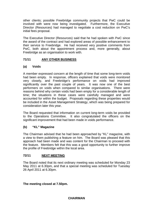other clients; possible Freebridge community projects that PwC could be involved with were now being investigated. Furthermore, the Executive Director (Resources) had managed to negotiate a cost reduction on PwC's initial fees proposal.

The Executive Director (Resources) said that he had spoken with PwC since the award of the contract and had explored areas of possible enhancement to their service to Freebridge. He had received very positive comments from PwC, both about the appointment process and, more generally, about Freebridge as an organisation to work with.

### **71/11 ANY OTHER BUSINESS**

### **(a) Voids**

A member expressed concern at the length of time that some long-term voids had been empty. In response, officers explained that voids were monitored very closely, and Freebridge's performance on voids had improved significantly over the past couple of years. It was now one of the best performers on voids when compared to similar organisations. There were reasons behind why certain voids had been empty for a considerable length of time; the situations in these cases were carefully managed and were accounted for within the budget. Proposals regarding these properties would be included in the Asset Management Strategy, which was being prepared for consideration later this year.

The Board requested that information on current long-term voids be provided to the Operations Committee. It also congratulated the officers on the significant improvement that had been made in voids performance.

#### **(b) "KL" Magazine**

The Chairman advised that he had been approached by "KL" magazine, with a view to them publishing a feature on him. The Board was pleased that this approach had been made and was content for the Chairman to proceed with the feature. Members felt that this was a good opportunity to further improve the profile of Freebridge within the local area.

#### **72/11 NEXT MEETING**

The Board noted that its next ordinary meeting was scheduled for Monday 23 May 2011 at 6.30pm, and that a special meeting was scheduled for Tuesday 26 April 2011 at 6.30pm.

**The meeting closed at 7.50pm.**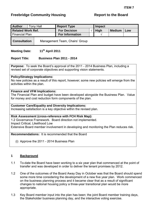## <span id="page-10-0"></span>**Freebridge Community Housing The Report to the Board**

| <b>Author</b>                                         |  | <b>Tony Hall</b> | <b>Report Type</b>     |  | Impact |               |     |
|-------------------------------------------------------|--|------------------|------------------------|--|--------|---------------|-----|
| <b>Related Work Ref.</b>                              |  |                  | <b>For Decision</b>    |  | High   | <b>Medium</b> | Low |
| <b>Financial Plan</b>                                 |  |                  | <b>For Information</b> |  |        |               |     |
| Management Team, Chairs' Group<br><b>Consultation</b> |  |                  |                        |  |        |               |     |

## Meeting Date: 11<sup>th</sup> April 2011

#### **Report Title: Business Plan 2011 - 2014**

**Purpose:** To seek the Board's approval of the 2011 - 2014 Business Plan, including a revised set of corporate objectives and supporting vision statements.

#### **Policy/Strategy Implications:**

No new policies as a result of this report, however; some new policies will emerge from the activities within the plan.

#### **Finance and VFM Implications:**

The Financial Plan and budget have been developed alongside the Business Plan. Value for money and cost reduction form components of the plan.

#### **Customer Care/Equality and Diversity Implications:**

Increasing satisfaction is a key objective within the revised plan.

#### **Risk Assessment (cross-reference with FCH Risk Map):**

1.2 Governance Framework. Board direction not implemented.

Impact Critical, Likelihood Low

Extensive Board member involvement in developing and monitoring the Plan reduces risk.

**Recommendations:** It is recommended that the Board

(i) Approve the 2011 - 2014 Business Plan

#### **1 Background**

- 1.1 To-date the Board have been working to a six year plan that commenced at the point of transfer and was developed in order to deliver the tenant promises by 2012.
- 1.2 One of the outcomes of the Board Away Day in October was that the Board should spend some more time considering the development of a new five year plan. Work commenced on the business planning process and it became clear that as a result of significant changes to national housing policy a three-year transitional plan would be more appropriate.
- 1.3 Key Board member input into the plan has been: the joint Board member training days, the Stakeholder business planning day, and the interactive voting exercise.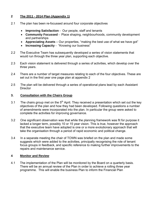## **2 The 2011 - 2014 Plan (Appendix 1)**

- 2.1 The plan has been re-focussed around four corporate objectives
	- **Improving Satisfaction** Our people, staff and tenants
	- **Community Focussed** Place shaping, neighbourhoods, community development and partnerships
	- **Appreciating Assets**  Our properties, "making the best use of what we have got"
	- **Increasing Capacity** "Knowing our business"
- 2.2 The Executive Team has subsequently developed a series of vision statements that would run through the three year plan, supporting each objective.
- 2.3 Each vision statement is delivered through a series of activities, which develop over the three years.
- 2.4 There are a number of target measures relating to each of the four objectives. These are set out in the first year one page plan at appendix 2
- 2.5 The plan will be delivered through a series of operational plans lead by each Assistant **Director**

#### **3. Consultation with the Chairs Group**

- 3.1 The chairs group met on the  $5<sup>th</sup>$  April. They received a presentation which set out the key objectives of the plan and how they had been developed. Following questions a number of amendments were incorporated into the plan. In particular the group were asked to complete the activities for improving governance.
- 3.2 One significant observation was that while the planning framework was fit for purpose it lacked a longer term, possibly 10 or 15 year vision. This is true, however the approach that the executive team have adopted is one or a more evolutionary approach that will take the organisation through a period of rapid economic and political change.
- 3.4 In a separate meeting the chair of TOWN was briefed on the plan and made some suggests which were added to the activities, principally recognising the role of tenant focus groups in feedback, and specific reference to making further improvements to the repairs and maintenance service.

## **4 Monitor and Review**

4.1 The implementation of the Plan will be monitored by the Board on a quarterly basis. There will be an annual review of the Plan in order to achieve a rolling three year programme. This will enable the business Plan to inform the Financial Plan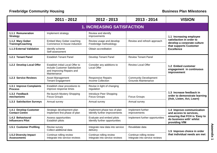|                                                 | 2011 - 2012                                                                                                   | 2012 - 2013                                                  | 2013 - 2014                                                | <b>VISION</b>                                                                          |  |
|-------------------------------------------------|---------------------------------------------------------------------------------------------------------------|--------------------------------------------------------------|------------------------------------------------------------|----------------------------------------------------------------------------------------|--|
|                                                 |                                                                                                               | <b>1. INCREASING SATISFACTION</b>                            |                                                            |                                                                                        |  |
| 1.1.1 Remuneration<br><b>Strategy</b>           | Implement strategy                                                                                            | Review and identify<br>improvements                          |                                                            | 1.1 Increasing employee                                                                |  |
| 1.1.2 Mary Gober<br><b>Training/Coaching</b>    | <b>Embed Mary Gober coaching</b><br>Commence in-house induction                                               | Review usage and develop<br>Freebridge methodology           | Review and refresh approach                                | satisfaction in order to<br>develop a corporate culture<br>that supports Customer      |  |
| 1.1.3 External Validation                       | Identify scheme<br>Self-assessment                                                                            | Obtain accreditation                                         |                                                            | <b>Excellence</b>                                                                      |  |
| 1.2.1 Tenant Panel                              | <b>Establish Tenant Panel</b>                                                                                 | <b>Develop Tenant Panel</b>                                  | <b>Review Tenant Panel</b>                                 |                                                                                        |  |
| 1.2.2 Develop Local Offer                       | Establish initial Local Offer to<br>include Customer Satisfaction<br>and Improving Repairs and<br>Maintenance | Consider any additions to<br><b>Local Offer</b>              | <b>Review Local Offer</b>                                  | 1.2 Embed customer<br>engagement in continuous<br>improvement                          |  |
| 1.2.3 Service Reviews                           | Asset Management<br><b>Tenant Engagement</b>                                                                  | <b>Responsive Repairs</b><br><b>Income Collection</b>        | <b>Community Development</b><br><b>Grounds Maintenance</b> |                                                                                        |  |
| 1.3.1 Improve Complaints<br><b>Process</b>      | Establish clear procedures to<br>improve response times                                                       | Revise in light of changing<br>regulation                    |                                                            |                                                                                        |  |
| 1.3.2 Feedback<br>mechanisms                    | Re-launch Mystery Shopping<br><b>Focus Groups</b>                                                             | Introduce Peer Shopping<br><b>Focus Groups</b>               | <b>Focus Groups</b>                                        | 1.3 Increase feedback in<br>order to demonstrate learning<br>(Ask, Listen, Act, Learn) |  |
| 1.3.3 Satisfaction Surveys                      | Annual survey                                                                                                 | Annual survey                                                | Annual survey                                              |                                                                                        |  |
| 1.4.1 Develop Customer<br><b>Contact Centre</b> | Strategic development plan<br>Implement first phase of plan                                                   | Implement phase two of plan<br>Identify further improvements | Implement further<br>improvements                          | 1.4 Improve communication<br>and access to services,                                   |  |
| 1.4.2 Behavioural<br><b>Influencers Pilot</b>   | Assess opportunities<br>Establish pilots                                                                      | Evaluate and embed pilots<br>Identify further opportunities  | Implement further opportunities                            | ensuring that FCH is 'Easy to<br>do business with' whilst<br>providing VfM             |  |
| 1.5.1 Customer Profiling                        | Revalidate data<br>Revise survey<br>Integrate new data into service<br>Collect additional data<br>delivery    |                                                              |                                                            | 1.5 Improve choice in order                                                            |  |
| 1.5.2 Diversity Impact<br><b>Assessments</b>    | Continue rolling review<br>Integrate into service reviews                                                     | Continue rolling review<br>Integrate into service reviews    | Continue rolling review<br>Integrate into service reviews  | that individual needs are met                                                          |  |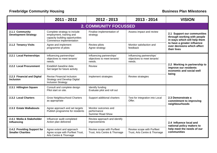|                                                         | 2011 - 2012                                                                                                            | 2012 - 2013                                                        | 2013 - 2014                                                        | <b>VISION</b>                                                                               |
|---------------------------------------------------------|------------------------------------------------------------------------------------------------------------------------|--------------------------------------------------------------------|--------------------------------------------------------------------|---------------------------------------------------------------------------------------------|
|                                                         |                                                                                                                        | <b>2. COMMUNITY FOCUSSED</b>                                       |                                                                    |                                                                                             |
| 2.1.1 Community<br><b>Development Strategy</b>          | Complete strategy to include<br>employment, training and<br>capacity building opportunities<br>Commence implementation | Finalise implementation of<br>Assess impact and review<br>strategy |                                                                    | 2.1 Support our communities<br>through working with people<br>in ways which will help them  |
| 2.1.2 Tenancy Visits                                    | Agree and implement<br>programme of pilots                                                                             | Review pilots<br>Agree strategy                                    | Monitor satisfaction and<br>feedback                               | to have a greater influence<br>over decisions which affect<br>their lives                   |
| 2.2.1 Local Partnerships                                | Influencing partnerships'<br>objectives to meet tenants'<br>needs.                                                     | Influencing partnerships'<br>objectives to meet tenants'<br>needs. | Influencing partnerships'<br>objectives to meet tenants'<br>needs. |                                                                                             |
| 2.2.2 Local Procurement                                 | Establish baseline data<br>Set target for future activity                                                              | Review                                                             |                                                                    | 2.2 Working in partnership to<br>improve our residents<br>economic and social well<br>being |
| 2.2.3 Financial and Digital<br><b>Inclusion</b>         | Revise Financial Inclusion<br><b>Strategy and Develop Digital</b><br><b>Inclusion Strategy</b>                         | Implement strategies                                               | Review strategies                                                  |                                                                                             |
| 2.3.1 Hillington Square                                 | Consult and complete design<br>Pilot start on site.                                                                    | Identify funding<br>Evaluate pilot and roll out                    |                                                                    |                                                                                             |
| 2.3.2 Local Charters                                    | <b>Grow Neighbourhood Charters</b><br>as appropriate                                                                   | Support additional charters                                        | Test for integration into Local<br>Offer.                          | 2.3 Demonstrate a<br>commitment to improving<br>neighbourhoods                              |
| 2.3.3 Estate Walkabouts                                 | Agree approach and set targets<br>Publish programme for residents                                                      | Monitor outcomes and<br>performance<br><b>Summer Road Show</b>     |                                                                    |                                                                                             |
| 2.4.1 Media & Stakeholder<br>Influencing                | Influencer audit completed<br>Action plan delivered                                                                    | Review approach and identify<br>improvements                       |                                                                    | 2.4 Influence local and<br>national policy makers to                                        |
| 2.4.2 Providing Support for<br><b>Smaller Charities</b> | Agree extent and approach<br>Agree scope with Purfleet Trust,<br>Arts Centre & Thornage                                | Review scope with Purfleet<br>Trust, Arts Centre & Thornage        | Review scope with Purfleet<br>Trust, Arts Centre & Thornage        | help meet the needs of our<br>communities                                                   |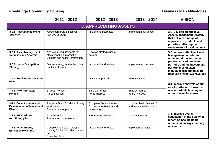|                                                                    | 2011 - 2012                                                                                     | 2012 - 2013                                                             | 2013 - 2014                                                | <b>VISION</b>                                                                                                                                                                    |  |  |  |  |  |  |
|--------------------------------------------------------------------|-------------------------------------------------------------------------------------------------|-------------------------------------------------------------------------|------------------------------------------------------------|----------------------------------------------------------------------------------------------------------------------------------------------------------------------------------|--|--|--|--|--|--|
|                                                                    | <b>3. APPRECIATING ASSETS</b>                                                                   |                                                                         |                                                            |                                                                                                                                                                                  |  |  |  |  |  |  |
| 3.1.1 Asset Management<br><b>Strategy</b>                          | Agree corporate objectives<br>Revised strategy                                                  | Implement first phase                                                   | Implement final phase                                      | 3.1 Develop an effective<br><b>Asset Management Strategy</b><br>that delivers a range of<br>approaches, products and<br>priorities reflecting our<br>assessment of local markets |  |  |  |  |  |  |
| 3.2.1 Asset Management<br><b>Database and Analysis</b>             | Analysis of requirements for<br>stock condition information<br>Validate and collect information | Develop strategic use of<br>system                                      |                                                            | 3.2 Improve effective Asset<br>Management in order to<br>understand the long term<br>performance of our asset                                                                    |  |  |  |  |  |  |
| 3.2.2 Under Occupation<br><b>Strategy</b>                          | Devise strategy and action plan<br>Implement pilots                                             | Implement and review                                                    | Implement and review                                       | portfolio and the investment<br>performance of each<br>individual property [Making<br>best use of what we have got]                                                              |  |  |  |  |  |  |
| 3.3.1 Stock Rationalisation<br>Plan                                |                                                                                                 | Options appraisals                                                      | Potential sales                                            | 3.3 Improve analysis of our<br>asset portfolio to maximise                                                                                                                       |  |  |  |  |  |  |
| 3.3.2 New Affordable<br><b>Homes</b>                               | Build 24 homes<br>(to be finalised)                                                             | Build 24 homes<br>(to be finalised)                                     | Build 25 homes<br>(to be finalised)                        | new affordable housing in<br>order to meet local need                                                                                                                            |  |  |  |  |  |  |
| 3.4.1 Decent Homes and<br><b>Development of Investment</b><br>Plan | Program Stock Condition Survey<br>work plan<br>Procurement of partners                          | <b>Complete Decent Homes</b><br>Contract mobilisation and<br>monitoring | Monitor plan in line with 3.2.1<br>and review satisfaction |                                                                                                                                                                                  |  |  |  |  |  |  |
| 3.4.2 EEDA Bid for<br>retrofitting pilot                           | Successful bid<br>Prepare and commence                                                          | Programme progression                                                   | Monitor & report                                           | 3.4 Improve overall<br>satisfaction in the quality of<br>tenant homes including<br>optimising energy efficiency                                                                  |  |  |  |  |  |  |
| 3.4.3 Wider Energy<br><b>Efficiency Measures</b>                   | Complete approach analysis<br>Identify funding including "Green<br>Deal"<br>Consider pilots     | Implement and review                                                    | Implement & review                                         | measures                                                                                                                                                                         |  |  |  |  |  |  |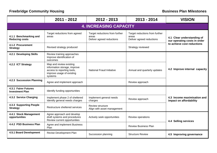|                                                 | 2011 - 2012                                                                                                                   | 2012 - 2013                                                          | 2013 - 2014                                                          | <b>VISION</b>                                              |  |  |  |  |  |
|-------------------------------------------------|-------------------------------------------------------------------------------------------------------------------------------|----------------------------------------------------------------------|----------------------------------------------------------------------|------------------------------------------------------------|--|--|--|--|--|
|                                                 | <b>4. INCREASING CAPACITY</b>                                                                                                 |                                                                      |                                                                      |                                                            |  |  |  |  |  |
| 4.1.1 Benchmarking and<br><b>Reducing costs</b> | Target reductions from agreed<br>areas                                                                                        | Target reductions from further<br>areas<br>Deliver agreed reductions | Target reductions from further<br>areas<br>Deliver agreed reductions | 4.1 Clear understanding of<br>our operating costs in order |  |  |  |  |  |
| 4.1.2 Procurement<br><b>Strategy</b>            | Revised strategy produced                                                                                                     |                                                                      | Strategy reviewed                                                    | to achieve cost reductions                                 |  |  |  |  |  |
| 4.2.1 Developing Skills                         | Review training approaches<br>Improve identification of<br>outcomes                                                           |                                                                      |                                                                      |                                                            |  |  |  |  |  |
| 4.2.2 ICT Strategy                              | Map and review existing<br>information storage, improve<br>access to reporting tools,<br>improve usage of existing<br>systems | National Fraud Initiative                                            | Annual and quarterly updates                                         | 4.2 Improve internal capacity                              |  |  |  |  |  |
| 4.2.3 Succession Planning                       | Agree and implement approach                                                                                                  |                                                                      | Review approach                                                      |                                                            |  |  |  |  |  |
| 4.3.1 Fairer Futures<br><b>Investment Plan</b>  | Identify funding opportunities                                                                                                |                                                                      |                                                                      |                                                            |  |  |  |  |  |
| 4.3.2 Service Charging                          | Implement phase 2 of sheltered<br>Identify general needs charges                                                              | Implement general needs<br>charges                                   | Review approach                                                      | 4.3 Income maximisation and<br>impact on affordability     |  |  |  |  |  |
| 4.3.3 Supporting People<br><b>Strategy</b>      | Restructure sheltered services                                                                                                | Review structure<br>Align with asset management                      |                                                                      |                                                            |  |  |  |  |  |
| 4.4.1 Stock Management<br>opportunities         | Agree approach and develop<br>draft systems and procedures<br>Review current opportunities                                    | Actively seek opportunities                                          | Review operations                                                    | <b>4.4 Selling services</b>                                |  |  |  |  |  |
| 4.4.2 PSD Business Plan                         | Agree and implement Business<br>Plan                                                                                          |                                                                      | <b>Review Business Plan</b>                                          |                                                            |  |  |  |  |  |
| 4.5.1 Board Development                         | Revise Development Plan                                                                                                       | Succession planning                                                  | <b>Structure Review</b>                                              | 4.5 Improving governance                                   |  |  |  |  |  |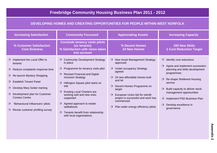# **Freebridge Community Housing Business Plan 2011 - 2012**

## **DEVELOPING HOMES AND CREATING OPPORTUNITIES FOR PEOPLE WITHIN WEST NORFOLK**

| <b>Increasing Satisfaction</b>                                                                                                                                                                                                                                                                                                                                                          | <b>Community Focussed</b>                                                                                                                                                                                                                                                                                                                                                                                                                                          | <b>Appreciating Assets</b>                                                                                                                                                                                                                                                                                                                                           | <b>Increasing Capacity</b>                                                                                                                                                                                                                                                                                                                  |
|-----------------------------------------------------------------------------------------------------------------------------------------------------------------------------------------------------------------------------------------------------------------------------------------------------------------------------------------------------------------------------------------|--------------------------------------------------------------------------------------------------------------------------------------------------------------------------------------------------------------------------------------------------------------------------------------------------------------------------------------------------------------------------------------------------------------------------------------------------------------------|----------------------------------------------------------------------------------------------------------------------------------------------------------------------------------------------------------------------------------------------------------------------------------------------------------------------------------------------------------------------|---------------------------------------------------------------------------------------------------------------------------------------------------------------------------------------------------------------------------------------------------------------------------------------------------------------------------------------------|
| % Customer Satisfaction<br><b>Cost Sickness</b>                                                                                                                                                                                                                                                                                                                                         | <b>Conclude tenancy visits pilots</b><br>(xx tenants)<br>% Satisfaction with views taken<br>into account                                                                                                                                                                                                                                                                                                                                                           | % Decent Homes<br><b>24 New Homes</b>                                                                                                                                                                                                                                                                                                                                | <b>200 New Skills</b><br><b>£ Cost Reduction Target</b>                                                                                                                                                                                                                                                                                     |
| Implement the Local Offer to<br>$\circ$<br>tenants<br>Reduce complaints response time<br>$\circ$<br>Re-launch Mystery Shopping<br>$\circ$<br><b>Establish Tenant Panel</b><br>$\circ$<br>Develop Mary Gober training<br>$\circ$<br>Development plan for Customer<br><b>Contact Centre</b><br>'Behavioural Influencers' pilots<br>$\circ$<br>Revise customer profiling survey<br>$\circ$ | O Community Development Strategy<br>in place<br>Programme for tenancy visits pilot<br>$\circ$<br><b>Revised Financial and Digital</b><br>$\circ$<br><b>Inclusion Strategy</b><br>Hillington Square pilot starts on<br>$\circ$<br>site<br><b>Existing Local Charters are</b><br>$\circ$<br>working well and new ones<br>supported<br>Agreed approach to estate<br>$\circ$<br>walkabouts<br>Tenants benefit from relationship<br>$\circ$<br>with local organisations | New Asset Management Strategy<br>$\Omega$<br>approved<br><b>Under-occupancy Strategy</b><br>$\Omega$<br>agreed<br>$O$ 24 new affordable homes built<br>and let<br>Decent Homes Programme on<br>$\circ$<br>target<br>European Union bid for retrofit<br>$\Omega$<br>project is successful and work has<br>commenced<br>Plan wider energy efficiency pilots<br>$\circ$ | Identify cost reductions<br>$\circ$<br>$O$ Agree and implement succession<br>planning and skills development<br>programmes<br>Re-shape Sheltered Housing<br>$\circ$<br>service<br>Build capacity to deliver stock<br>$\circ$<br>management opportunities<br>O Implement PSD Business Plan<br>Develop excellence in<br>$\circ$<br>governance |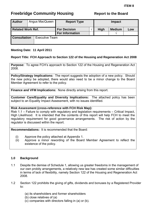# <span id="page-17-0"></span>**Freebridge Community Housing The Report to the Board**

| <b>Author</b>            |  | Angus MacQueen        | <b>Report Type</b>                            | <b>Impact</b> |                         |     |
|--------------------------|--|-----------------------|-----------------------------------------------|---------------|-------------------------|-----|
| <b>Related Work Ref.</b> |  |                       | <b>For Decision</b><br><b>For Information</b> | <b>High</b>   | <b>Medium</b><br>$\sim$ | Low |
| <b>Consultation</b>      |  | <b>Executive Team</b> |                                               |               |                         |     |

#### **Meeting Date: 11 April 2011**

### **Report Title: FCH Approach to Section 122 of the Housing and Regeneration Act 2008**

**Purpose:** To agree FCH's approach to Section 122 of the Housing and Regeneration Act 2008.

**Policy/Strategy Implications:** The report suggests the adoption of a new policy. Should the new policy be adopted, there would also need to be a minor change to the Board Member Agreement to refer to the policy.

**Finance and VFM Implications:** None directly arising from this report.

**Customer Care/Equality and Diversity Implications:** The attached policy has been subject to an Equality Impact Assessment, with no issues identified.

**Risk Assessment (cross-reference with FCH Risk Map):** 

Risk 1.1 – Failure to comply with regulatory and legislation requirements – Critical Impact, High Likelihood. It is intended that the contents of this report will help FCH to meet the regulatory requirement for good governance arrangements. The risk of action by the regulator is discussed within the report.

**Recommendations:** It is recommended that the Board:

- (i) Approve the policy attached at Appendix 1.
- (ii) Approve a minor rewording of the Board Member Agreement to reflect the existence of the policy.

#### **1.0 Background**

- 1.1 Despite the demise of Schedule 1, allowing us greater freedoms in the management of our own probity arrangements, a relatively new law has created some similar difficulties in terms of lack of flexibility, namely Section 122 of the Housing and Regeneration Act 2008.
- 1.2 Section 122 prohibits the giving of gifts, dividends and bonuses by a Registered Provider to:
	- (a) its shareholders and former shareholders
	- (b) close relatives of (a)
	- (c) companies with directors falling in (a) or (b).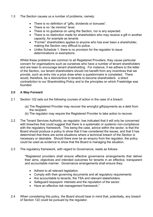- 1.3 The Section causes us a number of problems, namely:
	- There is no definition of "gifts, dividends or bonuses".
	- There is no "de minimis" level.
	- There is no guidance on using the Section, nor is any expected.
	- There is no distinction made for shareholders who may receive a gift in another capacity, for example as tenants
	- "Former" shareholders applies to anyone who has ever been a shareholder, making the Section very difficult to police.
	- Unlike Schedule 1, there is no provision for the regulator to issue determinations or exemptions.

Whilst these problems are common to all Registered Providers, they cause particular concern for organisations such as ourselves who have a number of tenant shareholders and are keen to encourage tenant shareholding. For instance, if we adhere to the letter of the Section, our tenant shareholders should not benefit from any incentives that we provide, such as entry into a prize draw when a questionnaire is completed. There would, therefore, be a disincentive to tenants to become shareholders: a direct contradiction to our Shareholding Policy and to the principles on which Freebridge was founded.

#### **2.0 A Way Forward**

- 2.1 Section 122 sets out the following courses of action in the case of a breach:
	- (a) The Registered Provider may recover the wrongful gift/payments as a debt from the recipient.
	- (b) The regulator may require the Registered Provider to take action to recover.
- 2.2 The Tenant Services Authority, as regulator, has indicated that it will only be concerned with breaches that could suggest that there is a systematic or systemic non-compliance with the regulatory framework. This being the case, advice within the sector, is that the Board should produce a policy to show that it has considered the issues, and that it has determined that there are some situations where a technical breach of the Section is necessary or desirable. Should there ever be an enquiry from the regulator, the policy could be used as evidence to show that the Board is managing the situation.
- 2.3 The regulatory framework, with regard to Governance, reads as follows:

"Registered providers shall ensure effective governance arrangements that deliver their aims, objectives and intended outcomes for tenants in an effective, transparent and accountable manner. Governance arrangements shall ensure they:

- Adhere to all relevant legislation.
- Comply with their governing documents and all regulatory requirements
- Are accountable to tenants, the TSA and relevant stakeholders.
- Safeguard taxpayers' interests and the reputation of the sector.
- Have an effective risk management framework."
- 2.4 When considering this policy, the Board should bear in mind that, potentially, any breach of Section 122 could be pursued by the regulator.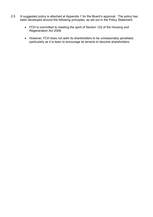- 2.5 A suggested policy is attached at Appendix 1 for the Board's approval. The policy has been developed around the following principles, as set out in the Policy Statement:
	- FCH is committed to meeting the spirit of Section 122 of the Housing and Regeneration Act 2008.
	- However, FCH does not wish its shareholders to be unreasonably penalised, particularly as it is keen to encourage its tenants to become shareholders.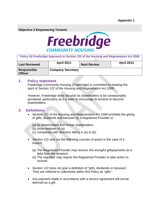**Objective 2 Empowering Tenants** 



| Policy 2d Freebridge Approach to Section 122 of the Housing and Regeneration Act 2008 |                          |                    |                   |  |  |  |
|---------------------------------------------------------------------------------------|--------------------------|--------------------|-------------------|--|--|--|
| <b>Last Reviewed</b>                                                                  | <b>April 2011</b>        | <b>Next Review</b> | <b>April 2013</b> |  |  |  |
| <b>Responsible</b><br><b>Officer</b>                                                  | <b>Company Secretary</b> |                    |                   |  |  |  |

#### **1. Policy statement**

Freebridge Community Housing (Freebridge) is committed to meeting the spirit of Section 122 of the Housing and Regeneration Act 2008.

However, Freebridge does not wish its shareholders to be unreasonably penalised, particularly as it is keen to encourage its tenants to become shareholders.

#### **2. Definitions**

- Section 122 of the Housing and Regeneration Act 2008 prohibits the giving of gifts, dividends and bonuses by a Registered Provider to:
	- (a) its shareholders and former shareholders
	- (b) close relatives of (a)
	- (c) companies with directors falling in (a) or (b).
- Section 122 sets out the following courses of action in the case of a breach:
	- (a) The Registered Provider may recover the wrongful gift/payments as a debt from the recipient.
	- (b) The regulator may require the Registered Provider to take action to recover.
- Section 122 does not give a definition of "gifts, dividends or bonuses". They are referred to collectively within this Policy as "gifts".
- Any payment made in accordance with a service agreement will not be deemed as a gift.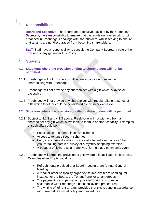## **3. Responsibilities**

**Board and Executive:** The Board and Executive, advised by the Company Secretary, have responsibility to ensure that the regulatory framework is not breached in Freebridge's dealings with shareholders, whilst seeking to ensure that tenants are not discouraged from becoming shareholders.

**Staff:** Staff have a responsibility to consult the Company Secretary before the provision of any gift under this Policy.

## **4. Strategy**

- **4.1 Situations where the provision of gifts to shareholders will not be permitted**
- 4.1.1 Freebridge will not provide any gift where a condition of receipt is shareholding with Freebridge.
- 4.1.2 Freebridge will not provide any shareholder with a gift which is lavish or excessive.
- 4.1.3 Freebridge will not provide any shareholder with regular gifts or a series of gifts which together could be considered as lavish or excessive.

#### **4.2 Situations where the provision of gifts to shareholders will be permitted**

- 4.2.1 Subject to 4.1.2 and 4.1.3 above, Freebridge will not withhold from a shareholder any gift which is available to them in another capacity. Examples of such gifts could be:
	- Participation in a tenant incentive scheme
	- Access to tenant discount schemes
	- Entry into a prize draw, for instance at a tenant event or as a "thank you" for taking part in a survey or a mystery shopping exercise.
	- A bouquet of flowers as a "thank you" for help at a community event
- 4.2.2 Freebridge will permit the provision of gifts where this facilitates its business. Examples of such gifts could be:
	- Refreshments provided at a Board meeting or an Annual General Meeting
	- A meal or other hospitality organised to improve team bonding, for instance for the Board, the Tenant Panel or tenant groups
	- The payment of compensation, provided that this is done in accordance with Freebridge's usual policy and procedures.
	- The writing off of rent arrears, provided that this is done in accordance with Freebridge's usual policy and procedures.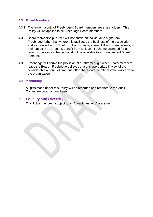#### **4.3 Board Members**

- 4.3.1 The large majority of Freebridge's Board members are shareholders. This Policy will be applied to all Freebridge Board members.
- 4.3.2 Board membership in itself will not entitle an individual to a gift from Freebridge (other than where this facilitates the business of the association and as detailed in 4.3.3 below). For instance, a tenant Board member may, in their capacity as a tenant, benefit from a discount scheme arranged for all tenants; the same scheme would not be available to an independent Board member.
- 4.3.3 Freebridge will permit the provision of a retirement gift when Board members leave the Board. Freebridge believes that this appropriate in view of the considerable amount of time and effort that Board members voluntarily give to the organisation.

#### **4.4 Monitoring**

All gifts made under this Policy will be recorded and reported to the Audit Committee on an annual basis.

#### **5. Equality and Diversity**

This Policy has been subject to an Equality Impact Assessment.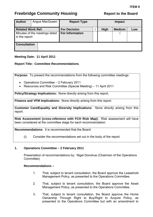# <span id="page-23-0"></span>**Freebridge Community Housing The Report to the Board**

| <b>Author</b>                                   | Angus MacQueen | <b>Report Type</b>     |              | <b>Impact</b> |               |     |
|-------------------------------------------------|----------------|------------------------|--------------|---------------|---------------|-----|
| <b>Related Work Ref.</b>                        |                | <b>For Decision</b>    | $\mathbf{v}$ | High          | <b>Medium</b> | Low |
| Minutes of the meetings listed<br>in the report |                | <b>For Information</b> |              |               |               |     |
| <b>Consultation</b>                             |                |                        |              |               |               |     |

### **Meeting Date: 11 April 2011**

#### **Report Title: Committee Recommendations**

**Purpose:** To present the recommendations from the following committee meetings:

- Operations Committee 2 February 2011
- Resources and Risk Committee (Special Meeting) 11 April 2011

**Policy/Strategy Implications:** None directly arising from this report.

**Finance and VFM Implications:** None directly arising from this report.

**Customer Care/Equality and Diversity Implications:** None directly arising from this report.

**Risk Assessment (cross-reference with FCH Risk Map):** Risk assessment will have been considered at the committee stage for each recommendation.

**Recommendations:** It is recommended that the Board:

(i) Consider the recommendations set out in the body of the report.

#### **1. Operations Committee – 2 February 2011**

Presentation of recommendations by: Nigel Donohue (Chairman of the Operations Committee)

#### **Recommendations –**

- 1. That, subject to tenant consultation, the Board approve the Leasehold Management Policy, as presented to the Operations Committee.
- 2. That, subject to tenant consultation, the Board approve the Asset Management Policy, as presented to the Operations Committee.
- 3. That, subject to tenant consultation, the Board approve the Home Ownership Through Right to Buy/Right to Acquire Policy, as presented to the Operations Committee but with an amendment to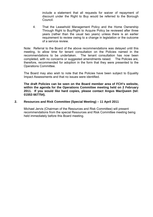include a statement that all requests for waiver of repayment of discount under the Right to Buy would be referred to the Borough Council.

4. That the Leasehold Management Policy and the Home Ownership Through Right to Buy/Right to Acquire Policy be reviewed after three years (rather than the usual two years) unless there is an earlier requirement to review owing to a change in legislation or the outcome of a service review.

Note: Referral to the Board of the above recommendations was delayed until this meeting, to allow time for tenant consultation on the Policies named in the recommendations to be undertaken. The tenant consultation has now been completed, with no concerns or suggested amendments raised. The Policies are, therefore, recommended for adoption in the form that they were presented to the Operations Committee.

The Board may also wish to note that the Policies have been subject to Equality Impact Assessments and that no issues were identified.

**The draft Policies can be seen on the Board member area of FCH's website, within the agenda for the Operations Committee meeting held on 2 February 2011. If you would like hard copies, please contact Angus MacQueen (tel: 01553 667754).** 

#### **2. Resources and Risk Committee (Special Meeting) – 11 April 2011**

Michael Jervis (Chairman of the Resources and Risk Committee) will present recommendations from the special Resources and Risk Committee meeting being held immediately before this Board meeting.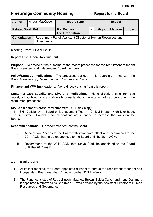# <span id="page-25-0"></span>**Freebridge Community Housing The Report to the Board**

| <b>Author</b>                                                                                     |  | Angus MacQueen | <b>Report Type</b>     |  | Impact      |               |     |
|---------------------------------------------------------------------------------------------------|--|----------------|------------------------|--|-------------|---------------|-----|
| <b>Related Work Ref.</b>                                                                          |  |                | <b>For Decision</b>    |  | <b>High</b> | <b>Medium</b> | Low |
|                                                                                                   |  |                | <b>For Information</b> |  |             |               |     |
| <b>Consultation</b><br>Recruitment Panel, Assistant Director of Human Resources and<br>Governance |  |                |                        |  |             |               |     |

#### **Meeting Date: 11 April 2011**

#### **Report Title: Board Recruitment**

**Purpose:** To advise of the outcome of the recent processes for the recruitment of tenant Board members and independent Board members.

**Policy/Strategy Implications:** The processes set out in this report are in line with the Board Membership, Recruitment and Succession Policy.

**Finance and VFM Implications:** None directly arising from this report.

**Customer Care/Equality and Diversity Implications:** None directly arising from this report, although equality and diversity considerations were taken into account during the recruitment processes.

#### **Risk Assessment (cross-reference with FCH Risk Map):**

1.4 – Skill Deficiency in Board or Management Team – Critical Impact, High Likelihood. The Recruitment Panel's recommendations are intended to increase the skills on the **Board** 

**Recommendations:** It is recommended that the Board:

- (i) Appoint Ian Pinches to the Board with immediate effect and recommend to the 2011 AGM that he be reappointed to the Board until the 2014 AGM.
- (ii) Recommend to the 2011 AGM that Steve Clark be appointed to the Board until the 2014 AGM.

#### **1.0 Background**

- 1.1 At its last meeting, the Board appointed a Panel to pursue the recruitment of tenant and independent Board members (minute number 32/11 refers).
- 1.2 The Panel consisted of Ray Johnson, Matthew Brown, Sylvia Calver and Irene Gammon; it appointed Matthew as its Chairman. It was advised by the Assistant Director of Human Resources and Governance.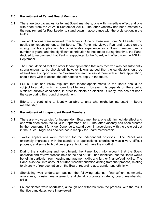#### **2.0 Recruitment of Tenant Board Members**

- 2.1 There are two vacancies for tenant Board members, one with immediate effect and one with effect from the AGM in September 2011. The latter vacancy has been created by the requirement for Paul Leader to stand down in accordance with the cycle set out in the Rules.
- 2.2 Two applications were received from tenants. One of these was from Paul Leader, who applied for reappointment to the Board. The Panel interviewed Paul and, based on the strength of his application, his considerable experience as a Board member over a number of years, and the significant contribution he has made during that time, the Panel decided to recommend that Paul is reappointed to the Board, with effect from the AGM in September.
- 2.3 The Panel decided that the other tenant application that was received was not sufficiently strong enough to be shortlisted, however it was agreed that the candidate should be offered some support from the Governance team to assist them with a future application, should they wish to accept the offer and to re-apply in the future.
- 2.4 FCH's Rules and Policy stipulate that tenant appointments to the Board should be subject to a ballot which is open to all tenants. However, this depends on there being sufficient suitable candidates, in order to initiate an election. Clearly, this has not been the case during this round of recruitment.
- 2.5 Efforts are continuing to identify suitable tenants who might be interested in Board membership.

#### **3.0 Recruitment of Independent Board Members**

- 3.1 There are two vacancies for independent Board members, one with immediate effect and one with effect from the AGM in September 2011. The latter vacancy has been created by the requirement for Nigel Donohue to stand down in accordance with the cycle set out in the Rules. Nigel has decided not to reapply for Board membership.
- 3.2 Twelve applications were received for the independent positions. The Panel was extremely impressed with the standard of applications; shortlisting was a very difficult process, and some high calibre applicants did not make the shortlist.
- 3.3 During the shortlisting and recruitment, the Panel took into account that the Board appraisal and review process held at the end of 2010 had identified that the Board would benefit in particular from housing management skills and further finance/audit skills. The Panel also took into account a further recommendation arising from that process, relating to diversity of representation on the Board, regarding age, gender and ethnicity.
- 3.4 Shortlisting was undertaken against the following criteria: finance/risk, community awareness, housing management, audit/legal, corporate strategy, board membership skills.
- 3.5 Six candidates were shortlisted, although one withdrew from the process, with the result that five candidates were interviewed.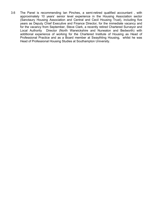3.6 The Panel is recommending Ian Pinches, a semi-retired qualified accountant , with approximately 10 years' senior level experience in the Housing Association sector (Sanctaury Housing Association and Central and Cecil Housing Trust), including five years as Deputy Chief Executive and Finance Director, for the immediate vacancy and for the vacancy from September, Steve Clark, a recently retired Chartered Surveyor and Local Authority Director (North Warwickshire and Nuneaton and Bedworth) with additional experience of working for the Chartered Institute of Housing as Head of Professional Practice and as a Board member at Swaythling Housing, whilst he was Head of Professional Housing Studies at Southampton University.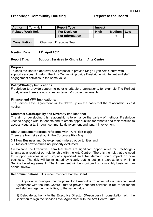## <span id="page-28-0"></span>**Freebridge Community Housing Community Freebridge Community Housing Report to the Board**

| <b>Author</b>            | <b>Tony Hall</b>         | <b>Report Type</b>     |  | Impact      |               |     |
|--------------------------|--------------------------|------------------------|--|-------------|---------------|-----|
| <b>Related Work Ref.</b> |                          | <b>For Decision</b>    |  | <b>High</b> | <b>Medium</b> | Low |
|                          |                          | <b>For Information</b> |  |             |               |     |
| <b>Consultation</b>      | Chairman, Executive Team |                        |  |             |               |     |

#### **Meeting Date: 11th April 2011**

#### **Report Title: Support Services to King's Lynn Arts Centre**

#### **Purpose:**

To seek the Board's approval of a proposal to provide King's Lynn Arts Centre with support services. In return the Arts Centre will provide Freebridge with tenant and staff engagement activities to the same value.

#### **Policy/Strategy Implications:**

Freebridge to provide support to other charitable organisations, for example The Purfleet Trust, where there are outcomes for tenants/prospective tenants.

#### **Finance and VFM Implications:**

The Service Level Agreement will be drawn up on the basis that the relationship is cost neutral.

#### **Customer Care/Equality and Diversity Implications:**

The aim of developing this relationship is to enhance the variety of methods Freebridge uses to engage with its tenants and to create opportunities for tenants and their families to access visual arts, through community development and tenant involvement.

#### **Risk Assessment (cross-reference with FCH Risk Map):**

There are two risks set out in the Corporate Risk Map.

3.1 New Business and Development - missed opportunities and

3.2 Risks of new ventures not properly evaluated.

On balance the Executive Team feel there are significant opportunities for Freebridge's tenants as a result of our relationship with the Arts Centre. There is the risk that the need for support services is not properly specified and that demand could impact on core business. The risk will be mitigated by clearly setting out joint expectations within a Service Level Agreement. The Agreement will be monitored on a monthly basis with an annual review.

#### **Recommendations:** It is recommended that the Board

(i) Approve in principle the proposal for Freebridge to enter into a Service Level Agreement with the Arts Centre Trust to provide support services in return for tenant and staff engagement activities, to the same value.

(ii) Delegate authority to the Executive Director (Resources) in consultation with the Chairman to sign the Service Level Agreement with the Arts Centre Trust.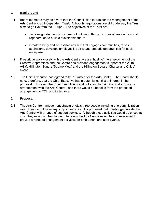#### **1 Background**

- 1.1 Board members may be aware that the Council plan to transfer the management of the Arts Centre to an independent Trust. Although negotiations are still underway the Trust aims to go live from the  $1<sup>st</sup>$  April. The objectives of the Trust are:
	- To reinvigorate the historic heart of culture in King's Lynn as a beacon for social regeneration to build a sustainable future.
	- Create a lively and accessible arts hub that engages communities, raises aspirations, develops employability skills and embeds opportunities for social enterprise.
- 1.2 Freebridge work closely with the Arts Centre, we are 'hosting' the employment of the Creative Apprentices and the Centre has provided engagement support at the 2010 AGM, Hillington Square 'Square Meal' and the Hillington Square 'Charter and Chips' event.
- 1.3 The Chief Executive has agreed to be a Trustee for the Arts Centre. The Board should note, therefore, that the Chief Executive has a potential conflict of interest in the proposal. However, the Chief Executive would not stand to gain financially from any arrangement with the Arts Centre , and there would be benefits from the proposed arrangement to FCH and its tenants.

#### **2 Proposal**

2.1 The Arts Centre management structure totals three people including one administration role. They do not have any support services. It is proposed that Freebridge provide the Arts Centre with a range of support services. Although these activities would be priced at cost, they would not be charged. In return the Arts Centre would be commissioned to provide a range of engagement activities for both tenant and staff events.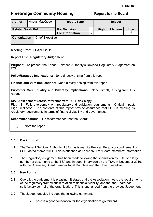# <span id="page-30-0"></span>**Freebridge Community Housing The Report to the Board**

| <b>Author</b>            | Angus MacQueen |                        | <b>Report Type</b>                            |  | <b>Impact</b> |               |     |
|--------------------------|----------------|------------------------|-----------------------------------------------|--|---------------|---------------|-----|
| <b>Related Work Ref.</b> |                |                        | <b>For Decision</b><br><b>For Information</b> |  | <b>High</b>   | <b>Medium</b> | Low |
| <b>Consultation</b>      |                | <b>Chief Executive</b> |                                               |  |               |               |     |

### **Meeting Date: 11 April 2011**

### **Report Title: Regulatory Judgement**

**Purpose:** To present the Tenant Services Authority's Revised Regulatory Judgement on FCH.

**Policy/Strategy Implications:** None directly arising from this report.

**Finance and VFM Implications:** None directly arising from this report.

**Customer Care/Equality and Diversity Implications:** None directly arising from this report.

#### **Risk Assessment (cross-reference with FCH Risk Map):**

Risk 1.1 – Failure to comply with regulatory and legislation requirements – Critical Impact, High Likelihood. The contents of this report provide assurance that FCH is meeting its regulatory requirements in terms of financial viability and governance.

**Recommendations:** It is recommended that the Board:

(i) Note the report.

#### **1.0 Background**

- 1.1 The Tenant Services Authority (TSA) has issued its Revised Regulatory Judgement on FCH, dated March 2011. This is attached at Appendix 1 for Board members' information.
- 1.2 The Regulatory Judgement has been made following the submission by FCH of a large number of documents to the TSA and in depth interviews by the TSA, in November 2010, with the Chairman, Board member Nigel Donohue and the Chief Executive.

#### **2.0 Key Points**

- 2.1 Overall, the Judgement is pleasing. It states that the Association meets the requirements of the regulatory framework in relation to financial viability, and that the Board has satisfactory control of the organisation. This is unchanged from the previous Judgement.
- 2.2 The Judgement also includes the following comments:
	- There is a good foundation for the organisation to go forward.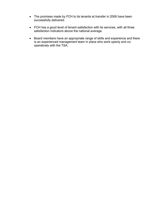- The promises made by FCH to its tenants at transfer in 2006 have been successfully delivered.
- FCH has a good level of tenant satisfaction with its services, with all three satisfaction indicators above the national average.
- Board members have an appropriate range of skills and experience and there is an experienced management team in place who work openly and cooperatively with the TSA.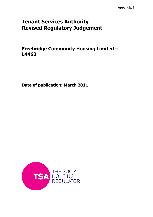# Tenant Services Authority Revised Regulatory Judgement

Freebridge Community Housing Limited – L4463

Date of publication: March 2011

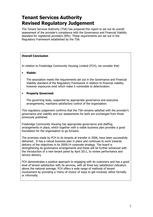# Tenant Services Authority Revised Regulatory Judgement

The Tenant Services Authority (TSA) has prepared this report to set out its overall assessment of the provider's compliance with the Governance and Financial Viability standard for registered providers (RPs). These requirements are set out in the Regulatory Framework established by the TSA.

#### Overall Conclusion

In relation to Freebridge Community Housing Limited (FCH), we consider that:

#### • Viable:

The association meets the requirements set out in the Governance and Financial Viability standard of the Regulatory Framework in relation to financial viability, however exposures exist which make it vulnerable to deterioration.

#### • Properly Governed:

The governing body, supported by appropriate governance and executive arrangements, maintains satisfactory control of the organisation.

This regulatory judgement confirms that the TSA remains satisfied with the provider's governance and viability and our assessments for both are unchanged from those previously published.

Freebridge Community Housing has appropriate governance and staffing arrangements in place, which together with a viable business plan provides a good foundation for the organisation to go forward.

The promises made by FCH to its tenants at transfer in 2006, have been successfully delivered. It has a robust business plan in place and continues to work towards delivery of the objectives in its 2009/14 corporate strategy. The board is strengthening its governance arrangements and these will be further enhanced with the introduction of a new tenant panel by April 2011, to review performance and service delivery.

FCH demonstrates a positive approach to engaging with its customers and has a good level of tenant satisfaction with its services, with all three key satisfaction indicators above the national average. FCH offers a wide range of methods of tenant involvement by providing a 'menu of choice' of ways to get involved, either formally or informally.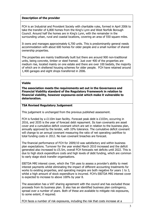#### Description of the provider

FCH is an Industrial and Provident Society with charitable rules, formed in April 2006 to take the transfer of 6,800 homes from the King's Lynn and West Norfolk Borough Council. Around half the homes are in King's Lynn, with the remainder in the surrounding urban, rural and coastal locations, covering an area of 550 square miles.

It owns and manages approximately 6,700 units. This is predominantly general needs accommodation with about 600 homes for older people and a small number of shared ownership properties.

The properties are mainly traditionally built but there are around 900 non-traditional units, being concrete, timber or steel framed. Just over 400 of the properties are medium rise, located mainly on one estate and there are over 100 bedsits, the majority of which are in sheltered housing schemes for older people. FCH have retained around 1,400 garages and eight shops transferred in 2006.

#### Viable

The association meets the requirements set out in the Governance and Financial Viability standard of the Regulatory Framework in relation to financial viability, however exposures exist which make it vulnerable to deterioration.

#### TSA Revised Regulatory Judgement

This judgement is unchanged from the previous published assessment.

FCH is funded by a £110m loan facility. Forecast peak debt is £103m, occurring in 2016, and 2035 is the year of forecast debt repayment. Its loan covenants are asset cover and a cumulative deficit covenant which are set in relation to the business plan, annually approved by the lender, with 10% tolerance. The cumulative deficit covenant will change to an annual covenant measuring the ratio of net operating cashflow to total funding costs in 2012. No loan covenant breaches are forecast.

The financial performance of FCH for 2009/10 was satisfactory and within business plan expectations. Turnover for the year ended March 2010 increased and the deficit generated also increased to £5.5m, overall FCH forecasts net deficits until 2022. This is due to high stock expenditure costs and high levels of debt funding, which are common to early stage stock transfer organisations.

EBITDA MRI interest cover, which the TSA uses to assess a provider's ability to meet interest payments whilst eliminating the impact of different accounting treatments for works to existing properties, and operating margins are both negative for years 1 to 3, whilst a high amount of stock expenditure is incurred. FCH's EBITDA MRI interest cover is expected to increase to above 100% by year 8.

The association has a VAT sharing agreement with the council and has excluded those proceeds from its business plan. It also has an identified business plan contingency, spread over a number of years. Both of these are available to mitigate risk exposures, to some extent, if required.

FCH faces a number of risk exposures, including the risk that costs increase at a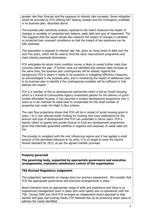greater rate than forecast and the exposure to interest rate increases. Some mitigation would be provided by FCH utilising VAT sharing receipts and the contingency available in its business plan, described above.

The business plan sensitivity analysis reported to the board measures the impact of changes in variables on projected loan balance, peak debt and year of repayment. The TSA suggests that the report should also measure the impact of changes in variables on projected loan covenant compliance so that the impact of key exposures can be fully assessed.

The association is exposed to interest rate risk, given its rising levels of debt over the next five years, which will be used to fund the stock improvement programme and meet interest payments themselves.

FCH anticipates its recent stock condition survey is likely to reveal further costs than currently within the plan. If further costs are identified and interest rates increase at the same time, the business plan contingencies will be utilised. Against this background, FCH is aware it needs to be proactive in instigating efficiency measures, as acknowledged in the business plan, and in monitoring the impact of additional costs to its business plan to identify if the contingencies available will be sufficient to fully address the impact.

FCH is a member of the e2 development partnership which is led by Orwell Housing, which is a Homes & Communities Agency investment partner for the delivery of grantfunded affordable housing. It has assumed a modest development programme over 5 years so it can maintain its asset base to compensate for the small number of properties lost under the Right to Buy scheme.

The cash flow projections shows that FCH will be in receipt of social housing grant in years 1 to 5, but reduced public funding for housing may have implications for the amount and type of development that FCH can undertake in future years. FCH is heavily reliant on grants and private finance to fund any development programme, given that internally generated cashflow is negative and surpluses on asset sales are low.

The provider is compliant with the rent influencing regime and it has applied a small amount of the permitted tolerance to its rents. It is on target to meet the Decent Homes Standard by 2012, as per the agreed transfer promises.

#### Properly governed

The governing body, supported by appropriate governance and executive arrangements, maintains satisfactory control of the organisation.

#### TSA Revised Regulatory Judgement

The judgement represents no change since our previous assessment. We consider that FCH has appropriate governance and executive arrangements in place.

Board members have an appropriate range of skills and experience and there is an experienced management team in place who work openly and co-operatively with the TSA. During 2009 and 2010 FCH arranged an independent board appraisal to help identify skill gaps and training needs, FCH followed this up by producing action plans to address the needs identified.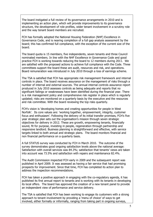The board instigated a full review of its governance arrangements in 2010 and is implementing an action plan, which will provide improvements to its governance structure, the development of role profiles, wider tenant involvement in a scrutiny role and the way tenant board members are recruited.

FCH has formally adopted the National Housing Federation (NHF) Excellence in Governance Code, and is nearing completion of a full gap analysis assessment by the board; this has confirmed full compliance, with the exception of the current size of the board.

The board quota is 15 members, five independents, seven tenants and three Council nominated members. In line with the NHF Excellence in Governance Code and good practice FCH is working towards reducing the board to 12 members during 2011. We are satisfied with the proposed actions to achieve full compliance with the Code. Three committees support the board these are audit, resources and risk, and operations. Board remuneration was introduced in July 2010 through a loss of earnings scheme.

The TSA is satisfied that FCH has appropriate risk management framework and internal controls in place. The board receives assurance on the management of risks through a number of internal and external sources. The annual internal controls assurance report produced in July 2010 assesses controls as being adequate and reports that no significant failings or weaknesses have been identified during the financial year. There is a risk management policy and comprehensive risk register in place which is regularly updated; risks are monitored on a quarterly basis by the executive and the resources and risk committee. With the board reviewing the top risks quarterly.

FCH's vision is 'developing homes and creating opportunities for people in West Norfolk'. Its core values are: 'working together, empowerment, integrity, customer focus and enthusiasm'. Following the delivery of its initial transfer promises, FCH's five year strategic plan sets out the organisation's mission through seven strategic objectives for delivery in 2012. These are growth, empowering tenants, financially sound, fit for purpose, investing in people, regeneration through partnership and responsive landlord. Business planning is straightforward and effective, with service targets linked to both annual and strategic plans. The board monitors financial and non financial performance on a quarterly basis.

A full STATUS survey was conducted by FCH in March 2010. The outcome of the survey demonstrates good ongoing satisfaction levels above the national average: Satisfaction with overall services was 84.3%; satisfaction that tenants' views are taken into account was 73.5% and satisfaction with repairs and maintenance 82.4%.

The Audit Commission inspected FCH early in 2009 and the subsequent report was published in April 2009. It was assessed as having a fair service that had promising prospects for improvement. Since that time, FCH has completed its action plan to address the inspection recommendations.

FCH has taken a positive approach in engaging with the co-regulatory agenda, it has published its first annual report to tenants and is working with its tenants in developing its local offers. The board has approved the creation of a new tenant panel to provide an independent view of performance and service delivery.

The TSA is satisfied that FCH has been working to engage its customers with a strong approach to tenant involvement by providing a 'menu of choice' of ways to get involved, either formally or informally, ranging from taking part in ongoing surveys,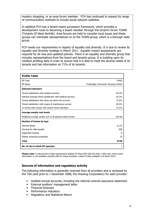mystery shopping, or an area forum member. FCH has continued to expand its range of communication methods to include social network websites.

In addition FCH has a tenant board succession framework, which provides a development route to becoming a board member through the tenant's forum TOWN (Tenants Of West Norfolk). Area forums are held to consider local issues and these groups can nominate representatives on to the TOWN group, which is a borough wide group.

FCH meets our requirements in respect of equality and diversity. It is due to review its equality and diversity strategy in March 2011. Equality impact assessments are required for all new and updated policies. There is an equality and diversity group that includes representatives from the board and tenants group. It is building upon its resident profiling data in order to ensure that it is able to meet the diverse needs of its tenants and has information on 71% of its tenants.

| <b>Profile Table</b>                                        |                                      |
|-------------------------------------------------------------|--------------------------------------|
| RP Code                                                     | L4463                                |
| RP Name                                                     | Freebridge Community Housing Limited |
| <b>Selected Indicators</b>                                  |                                      |
| Tenant satisfaction with landlord services                  | 84.3%                                |
| National average tenant satisfaction with landlord services | 82.3%                                |
| Tenant satisfaction that views are taken into account       | 73.5%                                |
| Tenant satisfaction with repairs & maintenance service      | 82.0%                                |
| % Homes that comply with Decent Home Standard               | 72.2%                                |
| Average weekly rent levels                                  |                                      |
| Weighted average weekly rent of all general needs homes     | £64.90                               |
| Number of homes by type                                     |                                      |
| <b>General Needs</b>                                        | 6,116                                |
| Housing for older people                                    | 608                                  |
| Supported housing                                           | $\Omega$                             |
| Shared ownership properties                                 | 14                                   |
| <b>Total</b>                                                | 6738                                 |
| No. of LAs in which RP operates                             | 1                                    |

Please note: A reduced set of data requirements applies for those RPs with less than 1,000 units, hence some information is not available centrally (NA) for these providers. Latest PI data available is at March 2010

#### Sources of information and regulatory activity

The following information is generally received from all providers and is reviewed by the TSA (and prior to 1 December 2008, the Housing Corporation) for each provider:

- Audited annual accounts, including the internal controls assurance statement
- External auditors' management letter
- Financial forecasts
- Performance indicators
- Regulatory and Statistical Return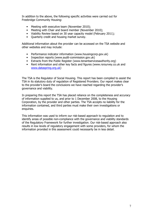In addition to the above, the following specific activities were carried out for Freebridge Community Housing:

- Meeting with executive team (November 2010);
- Meeting with Chair and board member (November 2010);
- Viability Review based on 30 year capacity model (February 2011);
- Quarterly credit and housing market survey.

Additional information about the provider can be accessed on the TSA website and other websites and may include:

- Performance indicator information (www.housingcorp.gov.uk)
- Inspection reports (www.audit-commission.gov.uk)
- Extracts from the Public Register (www.tenantservicesauthority.org)
- Rent information and other key facts and figures (www.rsrsurvey.co.uk and www.dataspring.org.uk)

The TSA is the Regulator of Social Housing. This report has been compiled to assist the TSA in its statutory duty of regulation of Registered Providers. Our report makes clear to the provider's board the conclusions we have reached regarding the provider's governance and viability.

In preparing this report the TSA has placed reliance on the completeness and accuracy of information supplied to us, and prior to 1 December 2008, to the Housing Corporation, by the provider and other parties. The TSA accepts no liability for the information contained, and third parties must make their own investigations or enquiries.

This information was used to inform our risk-based approach to regulation and to identify areas of possible non-compliance with the governance and viability standards of the Regulatory Framework for further investigation. Our risk-based approach also results in low levels of regulatory engagement with some providers, for whom the information provided in this assessment could necessarily be in less detail.